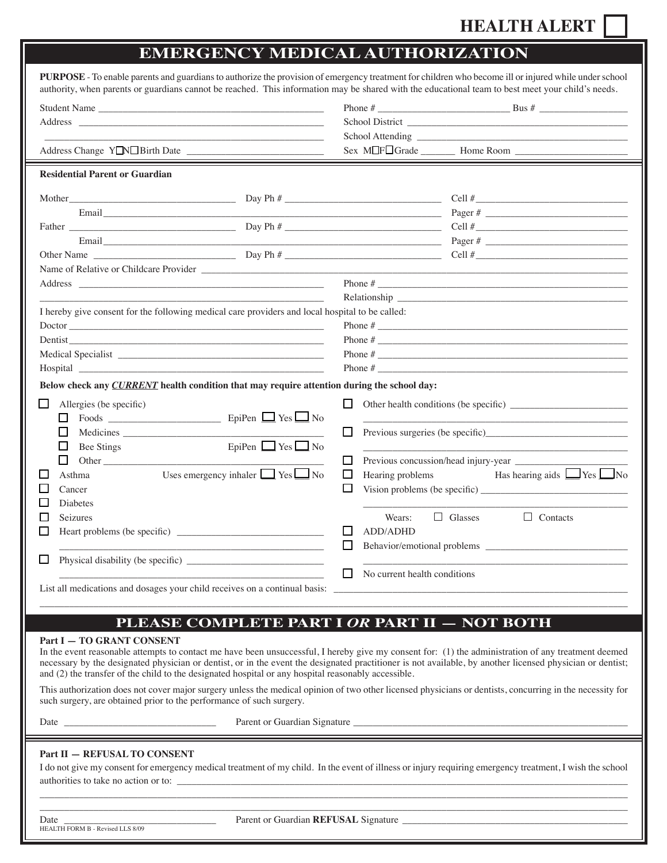## **hEALTH ALERT**

## **EmErgEncy mEdical authorization**

| PURPOSE - To enable parents and guardians to authorize the provision of emergency treatment for children who become ill or injured while under school<br>authority, when parents or guardians cannot be reached. This information may be shared with the educational team to best meet your child's needs.                       |                                                                                                                                                           |
|----------------------------------------------------------------------------------------------------------------------------------------------------------------------------------------------------------------------------------------------------------------------------------------------------------------------------------|-----------------------------------------------------------------------------------------------------------------------------------------------------------|
|                                                                                                                                                                                                                                                                                                                                  |                                                                                                                                                           |
|                                                                                                                                                                                                                                                                                                                                  |                                                                                                                                                           |
| the control of the control of the control of the control of the control of                                                                                                                                                                                                                                                       |                                                                                                                                                           |
|                                                                                                                                                                                                                                                                                                                                  |                                                                                                                                                           |
| <b>Residential Parent or Guardian</b>                                                                                                                                                                                                                                                                                            |                                                                                                                                                           |
|                                                                                                                                                                                                                                                                                                                                  | Cell #                                                                                                                                                    |
|                                                                                                                                                                                                                                                                                                                                  |                                                                                                                                                           |
|                                                                                                                                                                                                                                                                                                                                  |                                                                                                                                                           |
|                                                                                                                                                                                                                                                                                                                                  |                                                                                                                                                           |
|                                                                                                                                                                                                                                                                                                                                  |                                                                                                                                                           |
|                                                                                                                                                                                                                                                                                                                                  |                                                                                                                                                           |
|                                                                                                                                                                                                                                                                                                                                  |                                                                                                                                                           |
| Relationship and the contract of the contract of the contract of the contract of the contract of the contract of the contract of the contract of the contract of the contract of the contract of the contract of the contract<br>I hereby give consent for the following medical care providers and local hospital to be called: |                                                                                                                                                           |
| Doctor                                                                                                                                                                                                                                                                                                                           | Phone $#$                                                                                                                                                 |
| Dentist <u>example and the contract of the contract of the contract of the contract of the contract of the contract of the contract of the contract of the contract of the contract of the contract of the contract of the contr</u>                                                                                             |                                                                                                                                                           |
|                                                                                                                                                                                                                                                                                                                                  |                                                                                                                                                           |
|                                                                                                                                                                                                                                                                                                                                  |                                                                                                                                                           |
| Below check any CURRENT health condition that may require attention during the school day:                                                                                                                                                                                                                                       |                                                                                                                                                           |
|                                                                                                                                                                                                                                                                                                                                  |                                                                                                                                                           |
| Allergies (be specific)<br>ப<br>ப                                                                                                                                                                                                                                                                                                | $\Box$                                                                                                                                                    |
| Ш                                                                                                                                                                                                                                                                                                                                | □                                                                                                                                                         |
| EpiPen $\Box$ Yes $\Box$ No<br>□<br><b>Bee Stings</b>                                                                                                                                                                                                                                                                            |                                                                                                                                                           |
| $\Box$                                                                                                                                                                                                                                                                                                                           | $\Box$                                                                                                                                                    |
| Uses emergency inhaler $\Box$ Yes $\Box$ No<br>ΙI<br>Asthma                                                                                                                                                                                                                                                                      | Hearing problems Has hearing aids $\Box$ Yes $\Box$ No<br>$\Box$                                                                                          |
| Cancer                                                                                                                                                                                                                                                                                                                           | ப                                                                                                                                                         |
| Diabetes                                                                                                                                                                                                                                                                                                                         |                                                                                                                                                           |
| Seizures<br>H                                                                                                                                                                                                                                                                                                                    | $\Box$ Glasses<br>$\Box$ Contacts<br>Wears:                                                                                                               |
| $\Box$                                                                                                                                                                                                                                                                                                                           | ADD/ADHD<br>$\Box$                                                                                                                                        |
|                                                                                                                                                                                                                                                                                                                                  | $\Box$<br>Behavior/emotional problems ____________                                                                                                        |
|                                                                                                                                                                                                                                                                                                                                  |                                                                                                                                                           |
|                                                                                                                                                                                                                                                                                                                                  | No current health conditions                                                                                                                              |
| List all medications and dosages your child receives on a continual basis:                                                                                                                                                                                                                                                       | <u> 1989 - Johann Stein, marwolaethau a bhann an t-Amhainn an t-Amhainn an t-Amhainn an t-Amhainn an t-Amhainn a</u>                                      |
|                                                                                                                                                                                                                                                                                                                                  |                                                                                                                                                           |
|                                                                                                                                                                                                                                                                                                                                  | PLEASE COMPLETE PART I OR PART II - NOT BOTH                                                                                                              |
| Part I - TO GRANT CONSENT                                                                                                                                                                                                                                                                                                        |                                                                                                                                                           |
|                                                                                                                                                                                                                                                                                                                                  | In the event reasonable attempts to contact me have been unsuccessful, I hereby give my consent for: (1) the administration of any treatment deemed       |
|                                                                                                                                                                                                                                                                                                                                  | necessary by the designated physician or dentist, or in the event the designated practitioner is not available, by another licensed physician or dentist; |
| and (2) the transfer of the child to the designated hospital or any hospital reasonably accessible.                                                                                                                                                                                                                              |                                                                                                                                                           |
| This authorization does not cover major surgery unless the medical opinion of two other licensed physicians or dentists, concurring in the necessity for<br>such surgery, are obtained prior to the performance of such surgery.                                                                                                 |                                                                                                                                                           |
|                                                                                                                                                                                                                                                                                                                                  |                                                                                                                                                           |
|                                                                                                                                                                                                                                                                                                                                  |                                                                                                                                                           |
| Part II - REFUSAL TO CONSENT                                                                                                                                                                                                                                                                                                     |                                                                                                                                                           |
|                                                                                                                                                                                                                                                                                                                                  | I do not give my consent for emergency medical treatment of my child. In the event of illness or injury requiring emergency treatment, I wish the school  |
| authorities to take no action or to:                                                                                                                                                                                                                                                                                             |                                                                                                                                                           |
|                                                                                                                                                                                                                                                                                                                                  |                                                                                                                                                           |

HEALTH FORM B - Revised LLS 8/09

Ε

Date \_\_\_\_\_\_\_\_\_\_\_\_\_\_\_\_\_\_\_\_\_\_\_\_\_\_\_\_\_\_\_ Parent or Guardian **rEfusal** Signature \_\_\_\_\_\_\_\_\_\_\_\_\_\_\_\_\_\_\_\_\_\_\_\_\_\_\_\_\_\_\_\_\_\_\_\_\_\_\_\_\_\_\_\_\_\_

 $\Box \Box \Box \Box \Box \Box \Box$  . The set of the set of the set of the set of the set of the set of the set of the set of the set of the set of the set of the set of the set of the set of the set of the set of the set of the set of the